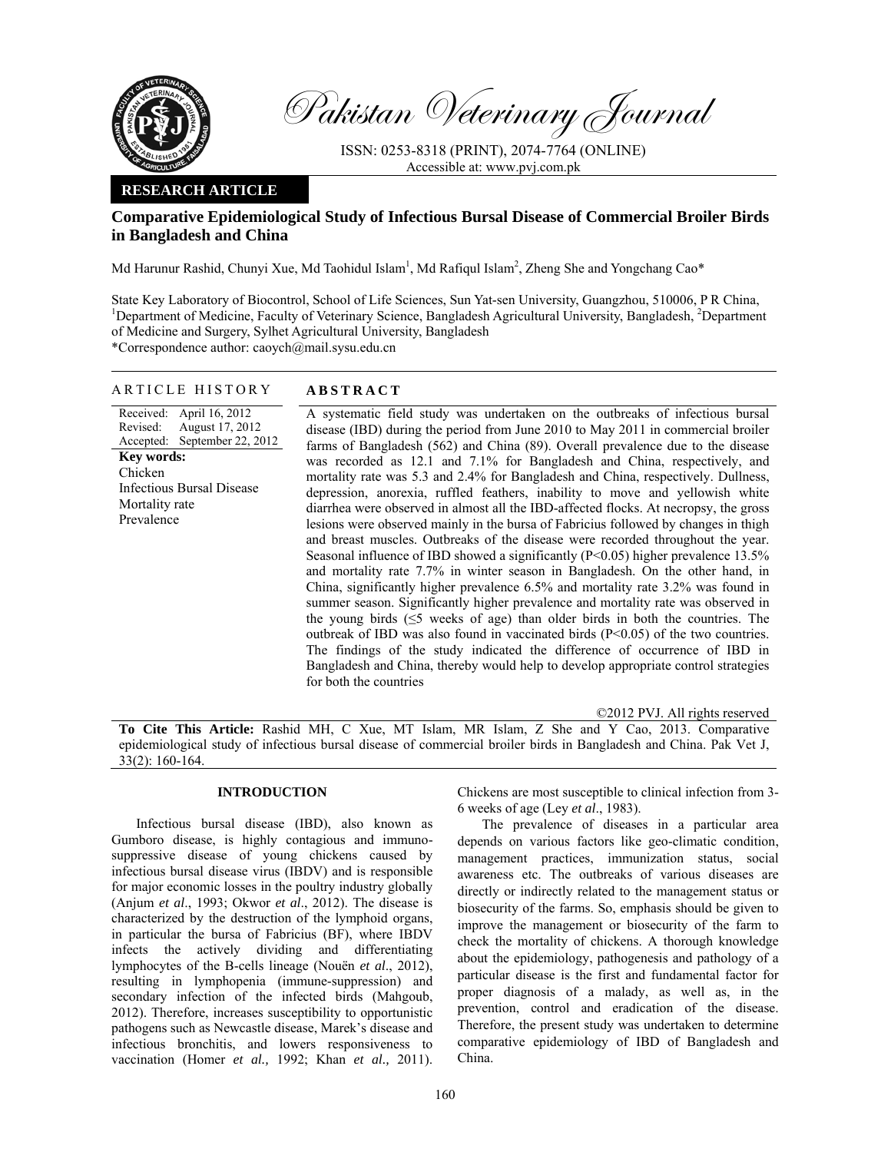

Pakistan Veterinary Journal

ISSN: 0253-8318 (PRINT), 2074-7764 (ONLINE) Accessible at: www.pvj.com.pk

# **RESEARCH ARTICLE**

# **Comparative Epidemiological Study of Infectious Bursal Disease of Commercial Broiler Birds in Bangladesh and China**

Md Harunur Rashid, Chunyi Xue, Md Taohidul Islam<sup>1</sup>, Md Rafiqul Islam<sup>2</sup>, Zheng She and Yongchang Cao\*

State Key Laboratory of Biocontrol, School of Life Sciences, Sun Yat-sen University, Guangzhou, 510006, P R China, <sup>1</sup>Department of Medicine, Faculty of Veterinary Science, Bangladesh Agricultural University, Bangladesh, <sup>2</sup>Department of Medicine and Surgery, Sylhet Agricultural University, Bangladesh

\*Correspondence author: caoych@mail.sysu.edu.cn

## ARTICLE HISTORY **ABSTRACT**

Received: April 16, 2012 Revised: Accepted: August 17, 2012 September 22, 2012 **Key words:**  Chicken Infectious Bursal Disease Mortality rate Prevalence

 A systematic field study was undertaken on the outbreaks of infectious bursal disease (IBD) during the period from June 2010 to May 2011 in commercial broiler farms of Bangladesh (562) and China (89). Overall prevalence due to the disease was recorded as 12.1 and 7.1% for Bangladesh and China, respectively, and mortality rate was 5.3 and 2.4% for Bangladesh and China, respectively. Dullness, depression, anorexia, ruffled feathers, inability to move and yellowish white diarrhea were observed in almost all the IBD-affected flocks. At necropsy, the gross lesions were observed mainly in the bursa of Fabricius followed by changes in thigh and breast muscles. Outbreaks of the disease were recorded throughout the year. Seasonal influence of IBD showed a significantly (P<0.05) higher prevalence 13.5% and mortality rate 7.7% in winter season in Bangladesh. On the other hand, in China, significantly higher prevalence 6.5% and mortality rate 3.2% was found in summer season. Significantly higher prevalence and mortality rate was observed in the young birds ( $\leq$ 5 weeks of age) than older birds in both the countries. The outbreak of IBD was also found in vaccinated birds  $(P<0.05)$  of the two countries. The findings of the study indicated the difference of occurrence of IBD in Bangladesh and China, thereby would help to develop appropriate control strategies for both the countries

©2012 PVJ. All rights reserved

**To Cite This Article:** Rashid MH, C Xue, MT Islam, MR Islam, Z She and Y Cao, 2013. Comparative epidemiological study of infectious bursal disease of commercial broiler birds in Bangladesh and China. Pak Vet J, 33(2): 160-164.

## **INTRODUCTION**

Infectious bursal disease (IBD), also known as Gumboro disease, is highly contagious and immunosuppressive disease of young chickens caused by infectious bursal disease virus (IBDV) and is responsible for major economic losses in the poultry industry globally (Anjum *et al*., 1993; Okwor *et al*., 2012). The disease is characterized by the destruction of the lymphoid organs, in particular the bursa of Fabricius (BF), where IBDV infects the actively dividing and differentiating lymphocytes of the B-cells lineage (Nouën *et al*., 2012), resulting in lymphopenia (immune-suppression) and secondary infection of the infected birds (Mahgoub, 2012). Therefore, increases susceptibility to opportunistic pathogens such as Newcastle disease, Marek's disease and infectious bronchitis, and lowers responsiveness to vaccination (Homer *et al.,* 1992; Khan *et al.,* 2011).

Chickens are most susceptible to clinical infection from 3- 6 weeks of age (Ley *et al*., 1983).

The prevalence of diseases in a particular area depends on various factors like geo-climatic condition, management practices, immunization status, social awareness etc. The outbreaks of various diseases are directly or indirectly related to the management status or biosecurity of the farms. So, emphasis should be given to improve the management or biosecurity of the farm to check the mortality of chickens. A thorough knowledge about the epidemiology, pathogenesis and pathology of a particular disease is the first and fundamental factor for proper diagnosis of a malady, as well as, in the prevention, control and eradication of the disease. Therefore, the present study was undertaken to determine comparative epidemiology of IBD of Bangladesh and China.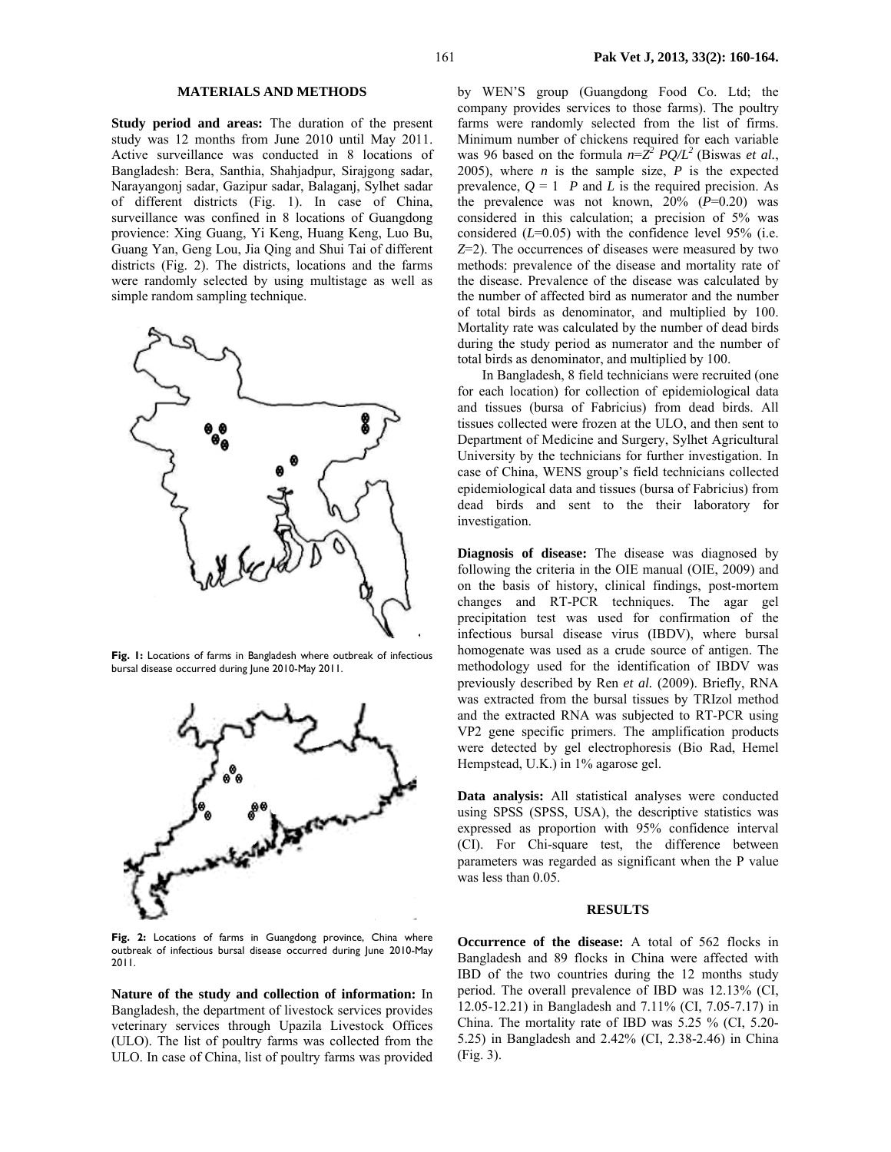### **MATERIALS AND METHODS**

**Study period and areas:** The duration of the present study was 12 months from June 2010 until May 2011. Active surveillance was conducted in 8 locations of Bangladesh: Bera, Santhia, Shahjadpur, Sirajgong sadar, Narayangonj sadar, Gazipur sadar, Balaganj, Sylhet sadar of different districts (Fig. 1). In case of China, surveillance was confined in 8 locations of Guangdong provience: Xing Guang, Yi Keng, Huang Keng, Luo Bu, Guang Yan, Geng Lou, Jia Qing and Shui Tai of different districts (Fig. 2). The districts, locations and the farms were randomly selected by using multistage as well as simple random sampling technique.



**Fig. 1:** Locations of farms in Bangladesh where outbreak of infectious bursal disease occurred during June 2010-May 2011.



**Fig. 2:** Locations of farms in Guangdong province, China where outbreak of infectious bursal disease occurred during June 2010-May 2011.

**Nature of the study and collection of information:** In Bangladesh, the department of livestock services provides veterinary services through Upazila Livestock Offices (ULO). The list of poultry farms was collected from the ULO. In case of China, list of poultry farms was provided by WEN'S group (Guangdong Food Co. Ltd; the company provides services to those farms). The poultry farms were randomly selected from the list of firms. Minimum number of chickens required for each variable was 96 based on the formula  $n=\overline{Z}^2$  *PQ/L<sup>2</sup>* (Biswas *et al.*, 2005), where  $n$  is the sample size,  $P$  is the expected prevalence,  $Q = 1$  *P* and *L* is the required precision. As the prevalence was not known, 20% (*P*=0.20) was considered in this calculation; a precision of 5% was considered (*L*=0.05) with the confidence level 95% (i.e. *Z*=2). The occurrences of diseases were measured by two methods: prevalence of the disease and mortality rate of the disease. Prevalence of the disease was calculated by the number of affected bird as numerator and the number of total birds as denominator, and multiplied by 100. Mortality rate was calculated by the number of dead birds during the study period as numerator and the number of total birds as denominator, and multiplied by 100.

In Bangladesh, 8 field technicians were recruited (one for each location) for collection of epidemiological data and tissues (bursa of Fabricius) from dead birds. All tissues collected were frozen at the ULO, and then sent to Department of Medicine and Surgery, Sylhet Agricultural University by the technicians for further investigation. In case of China, WENS group's field technicians collected epidemiological data and tissues (bursa of Fabricius) from dead birds and sent to the their laboratory for investigation.

**Diagnosis of disease:** The disease was diagnosed by following the criteria in the OIE manual (OIE, 2009) and on the basis of history, clinical findings, post-mortem changes and RT-PCR techniques. The agar gel precipitation test was used for confirmation of the infectious bursal disease virus (IBDV), where bursal homogenate was used as a crude source of antigen. The methodology used for the identification of IBDV was previously described by Ren *et al.* (2009). Briefly, RNA was extracted from the bursal tissues by TRIzol method and the extracted RNA was subjected to RT-PCR using VP2 gene specific primers. The amplification products were detected by gel electrophoresis (Bio Rad, Hemel Hempstead, U.K.) in 1% agarose gel.

**Data analysis:** All statistical analyses were conducted using SPSS (SPSS, USA), the descriptive statistics was expressed as proportion with 95% confidence interval (CI). For Chi-square test, the difference between parameters was regarded as significant when the P value was less than 0.05.

#### **RESULTS**

**Occurrence of the disease:** A total of 562 flocks in Bangladesh and 89 flocks in China were affected with IBD of the two countries during the 12 months study period. The overall prevalence of IBD was 12.13% (CI, 12.05-12.21) in Bangladesh and 7.11% (CI, 7.05-7.17) in China. The mortality rate of IBD was 5.25 % (CI, 5.20- 5.25) in Bangladesh and 2.42% (CI, 2.38-2.46) in China (Fig. 3).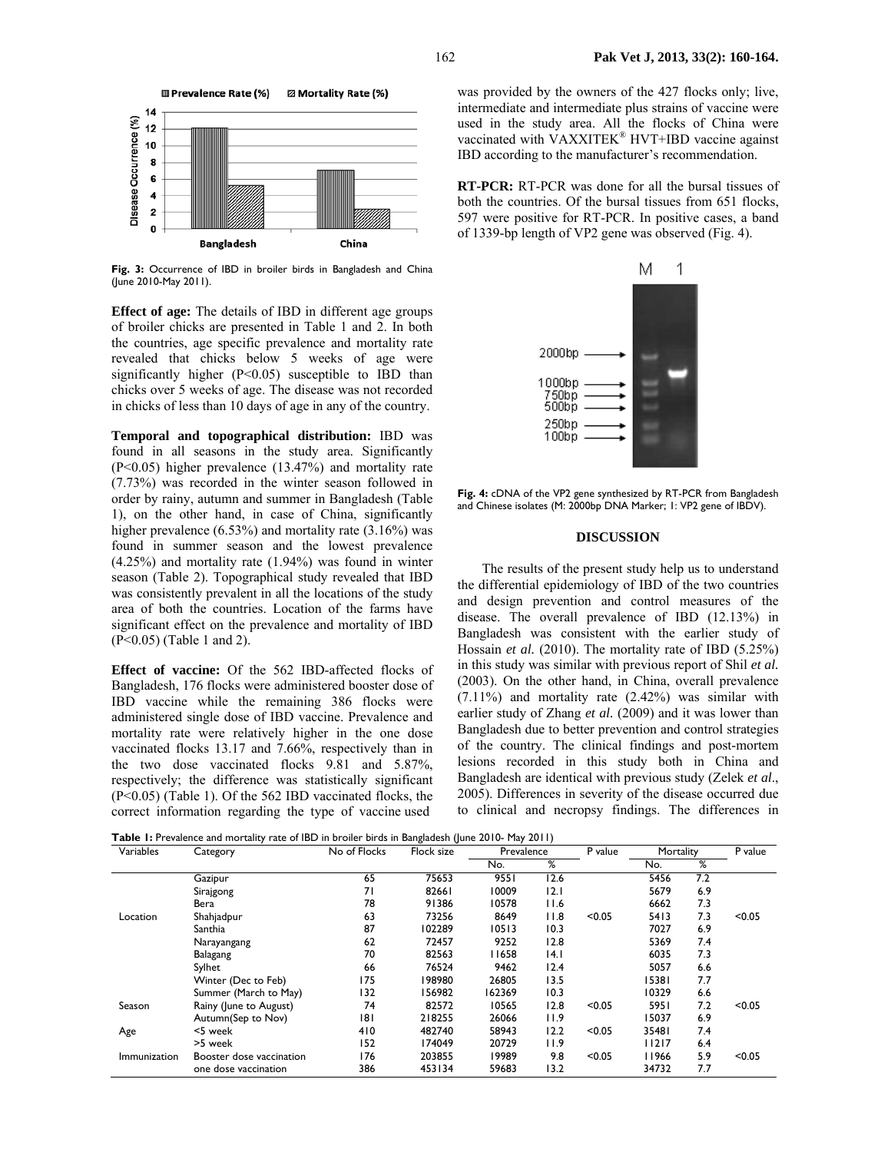

Fig. 3: Occurrence of IBD in broiler birds in Bangladesh and China (June 2010-May 2011).

**Effect of age:** The details of IBD in different age groups of broiler chicks are presented in Table 1 and 2. In both the countries, age specific prevalence and mortality rate revealed that chicks below 5 weeks of age were significantly higher (P<0.05) susceptible to IBD than chicks over 5 weeks of age. The disease was not recorded in chicks of less than 10 days of age in any of the country.

**Temporal and topographical distribution:** IBD was found in all seasons in the study area. Significantly (P<0.05) higher prevalence (13.47%) and mortality rate (7.73%) was recorded in the winter season followed in order by rainy, autumn and summer in Bangladesh (Table 1), on the other hand, in case of China, significantly higher prevalence (6.53%) and mortality rate (3.16%) was found in summer season and the lowest prevalence (4.25%) and mortality rate (1.94%) was found in winter season (Table 2). Topographical study revealed that IBD was consistently prevalent in all the locations of the study area of both the countries. Location of the farms have significant effect on the prevalence and mortality of IBD (P<0.05) (Table 1 and 2).

**Effect of vaccine:** Of the 562 IBD-affected flocks of Bangladesh, 176 flocks were administered booster dose of IBD vaccine while the remaining 386 flocks were administered single dose of IBD vaccine. Prevalence and mortality rate were relatively higher in the one dose vaccinated flocks 13.17 and 7.66%, respectively than in the two dose vaccinated flocks 9.81 and 5.87%, respectively; the difference was statistically significant (P<0.05) (Table 1). Of the 562 IBD vaccinated flocks, the correct information regarding the type of vaccine used

was provided by the owners of the 427 flocks only; live, intermediate and intermediate plus strains of vaccine were used in the study area. All the flocks of China were vaccinated with VAXXITEK® HVT+IBD vaccine against IBD according to the manufacturer's recommendation.

**RT-PCR:** RT-PCR was done for all the bursal tissues of both the countries. Of the bursal tissues from 651 flocks, 597 were positive for RT-PCR. In positive cases, a band of 1339-bp length of VP2 gene was observed (Fig. 4).



**Fig. 4:** cDNA of the VP2 gene synthesized by RT-PCR from Bangladesh and Chinese isolates (M: 2000bp DNA Marker; 1: VP2 gene of IBDV).

### **DISCUSSION**

 The results of the present study help us to understand the differential epidemiology of IBD of the two countries and design prevention and control measures of the disease. The overall prevalence of IBD (12.13%) in Bangladesh was consistent with the earlier study of Hossain *et al.* (2010). The mortality rate of IBD (5.25%) in this study was similar with previous report of Shil *et al.* (2003). On the other hand, in China, overall prevalence (7.11%) and mortality rate (2.42%) was similar with earlier study of Zhang *et al.* (2009) and it was lower than Bangladesh due to better prevention and control strategies of the country. The clinical findings and post-mortem lesions recorded in this study both in China and Bangladesh are identical with previous study (Zelek *et al*., 2005). Differences in severity of the disease occurred due to clinical and necropsy findings. The differences in

**Table 1:** Prevalence and mortality rate of IBD in broiler birds in Bangladesh (June 2010- May 2011)

| Variables    | Category                 | No of Flocks | Flock size | Prevalence |       | P value | Mortality |     | P value |
|--------------|--------------------------|--------------|------------|------------|-------|---------|-----------|-----|---------|
|              |                          |              |            | No.        | %     |         | No.       | %   |         |
|              | Gazipur                  | 65           | 75653      | 9551       | 12.6  |         | 5456      | 7.2 |         |
|              | Sirajgong                | 71           | 82661      | 10009      | 12.1  |         | 5679      | 6.9 |         |
|              | Bera                     | 78           | 91386      | 10578      | 11.6  |         | 6662      | 7.3 |         |
| Location     | Shahjadpur               | 63           | 73256      | 8649       | 11.8  | < 0.05  | 5413      | 7.3 | < 0.05  |
|              | Santhia                  | 87           | 102289     | 10513      | 10.3  |         | 7027      | 6.9 |         |
|              | Narayangang              | 62           | 72457      | 9252       | 12.8  |         | 5369      | 7.4 |         |
|              | Balagang                 | 70           | 82563      | l 1658     | 14. I |         | 6035      | 7.3 |         |
|              | Sylhet                   | 66           | 76524      | 9462       | 12.4  |         | 5057      | 6.6 |         |
|              | Winter (Dec to Feb)      | 175          | 198980     | 26805      | 13.5  |         | 15381     | 7.7 |         |
|              | Summer (March to May)    | 132          | 156982     | 162369     | 10.3  |         | 10329     | 6.6 |         |
| Season       | Rainy (June to August)   | 74           | 82572      | 10565      | 12.8  | < 0.05  | 5951      | 7.2 | < 0.05  |
|              | Autumn(Sep to Nov)       | 181          | 218255     | 26066      | 11.9  |         | 15037     | 6.9 |         |
| Age          | <5 week                  | 410          | 482740     | 58943      | 12.2  | < 0.05  | 35481     | 7.4 |         |
|              | >5 week                  | 152          | 174049     | 20729      | 11.9  |         | 11217     | 6.4 |         |
| Immunization | Booster dose vaccination | 176          | 203855     | 19989      | 9.8   | < 0.05  | 11966     | 5.9 | < 0.05  |
|              | one dose vaccination     | 386          | 453134     | 59683      | 13.2  |         | 34732     | 7.7 |         |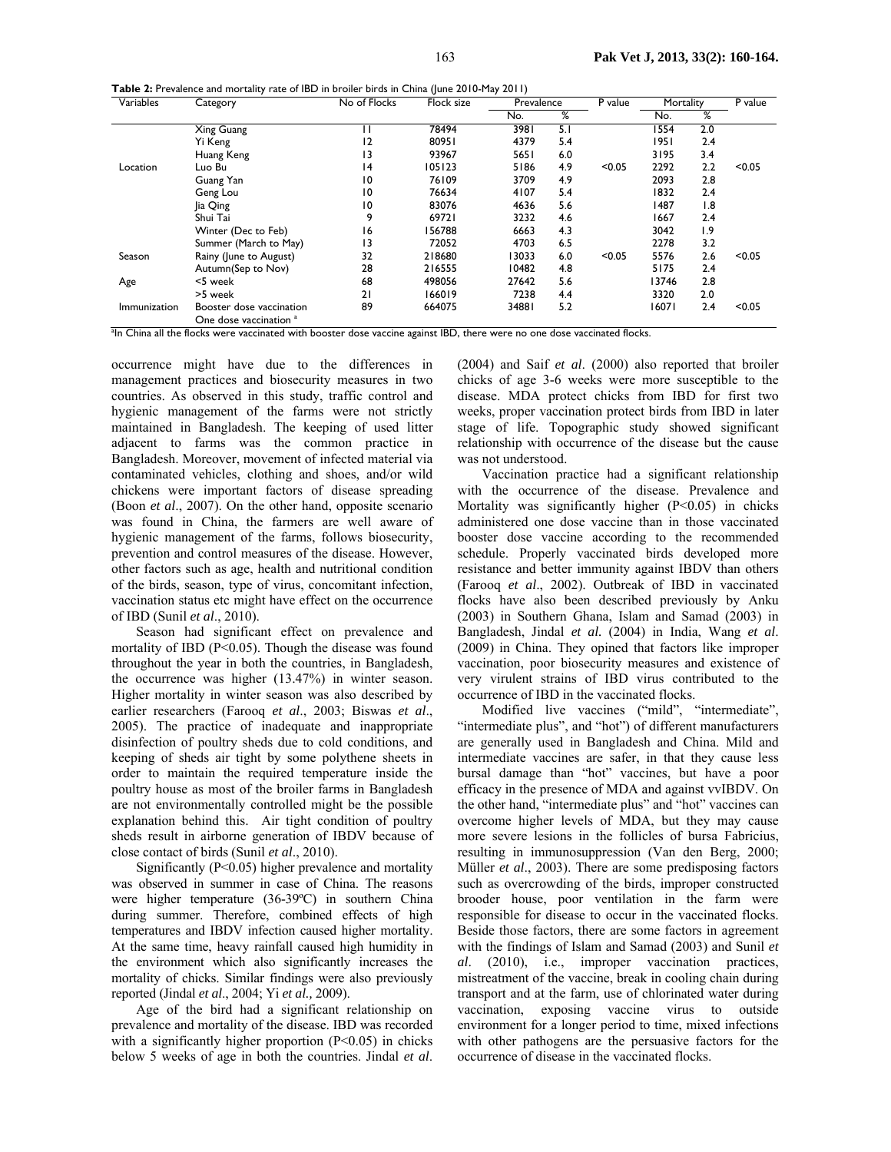| Variables    | Category                                                      | No of Flocks | Flock size | Prevalence |     | P value | Mortality |      | P value |
|--------------|---------------------------------------------------------------|--------------|------------|------------|-----|---------|-----------|------|---------|
|              |                                                               |              |            | No.        | %   |         | No.       | %    |         |
|              | Xing Guang                                                    |              | 78494      | 3981       | 5.1 |         | 1554      | 2.0  |         |
|              | Yi Keng                                                       | 12           | 80951      | 4379       | 5.4 |         | 1951      | 2.4  |         |
|              | Huang Keng                                                    | 13           | 93967      | 5651       | 6.0 |         | 3195      | 3.4  |         |
| Location     | Luo Bu                                                        | 4            | 105123     | 5186       | 4.9 | < 0.05  | 2292      | 2.2  | < 0.05  |
|              | Guang Yan                                                     | 10           | 76109      | 3709       | 4.9 |         | 2093      | 2.8  |         |
|              | Geng Lou                                                      | 10           | 76634      | 4107       | 5.4 |         | 1832      | 2.4  |         |
|              | lia Qing                                                      | 10           | 83076      | 4636       | 5.6 |         | 1487      | 1.8  |         |
|              | Shui Tai                                                      | 9            | 69721      | 3232       | 4.6 |         | 1667      | 2.4  |         |
|              | Winter (Dec to Feb)                                           | 16           | 156788     | 6663       | 4.3 |         | 3042      | و. ا |         |
|              | Summer (March to May)                                         | 13           | 72052      | 4703       | 6.5 |         | 2278      | 3.2  |         |
| Season       | Rainy (June to August)                                        | 32           | 218680     | 13033      | 6.0 | < 0.05  | 5576      | 2.6  | < 0.05  |
|              | Autumn(Sep to Nov)                                            | 28           | 216555     | 10482      | 4.8 |         | 5175      | 2.4  |         |
| Age          | <5 week                                                       | 68           | 498056     | 27642      | 5.6 |         | 13746     | 2.8  |         |
|              | >5 week                                                       | 21           | 166019     | 7238       | 4.4 |         | 3320      | 2.0  |         |
| Immunization | Booster dose vaccination<br>One dose vaccination <sup>a</sup> | 89           | 664075     | 34881      | 5.2 |         | 16071     | 2.4  | < 0.05  |

a In China all the flocks were vaccinated with booster dose vaccine against IBD, there were no one dose vaccinated flocks.

**Table 2:** Prevalence and mortality rate of IBD in broiler birds in China (June 2010-May 2011)

occurrence might have due to the differences in management practices and biosecurity measures in two countries. As observed in this study, traffic control and hygienic management of the farms were not strictly maintained in Bangladesh. The keeping of used litter adjacent to farms was the common practice in Bangladesh. Moreover, movement of infected material via contaminated vehicles, clothing and shoes, and/or wild chickens were important factors of disease spreading (Boon *et al*., 2007). On the other hand, opposite scenario was found in China, the farmers are well aware of hygienic management of the farms, follows biosecurity, prevention and control measures of the disease. However, other factors such as age, health and nutritional condition of the birds, season, type of virus, concomitant infection, vaccination status etc might have effect on the occurrence of IBD (Sunil *et al*., 2010).

Season had significant effect on prevalence and mortality of IBD (P<0.05). Though the disease was found throughout the year in both the countries, in Bangladesh, the occurrence was higher (13.47%) in winter season. Higher mortality in winter season was also described by earlier researchers (Farooq *et al*., 2003; Biswas *et al*., 2005). The practice of inadequate and inappropriate disinfection of poultry sheds due to cold conditions, and keeping of sheds air tight by some polythene sheets in order to maintain the required temperature inside the poultry house as most of the broiler farms in Bangladesh are not environmentally controlled might be the possible explanation behind this. Air tight condition of poultry sheds result in airborne generation of IBDV because of close contact of birds (Sunil *et al*., 2010).

Significantly (P<0.05) higher prevalence and mortality was observed in summer in case of China. The reasons were higher temperature (36-39ºC) in southern China during summer. Therefore, combined effects of high temperatures and IBDV infection caused higher mortality. At the same time, heavy rainfall caused high humidity in the environment which also significantly increases the mortality of chicks. Similar findings were also previously reported (Jindal *et al*., 2004; Yi *et al.,* 2009).

Age of the bird had a significant relationship on prevalence and mortality of the disease. IBD was recorded with a significantly higher proportion  $(P<0.05)$  in chicks below 5 weeks of age in both the countries. Jindal *et al*.

(2004) and Saif *et al*. (2000) also reported that broiler chicks of age 3-6 weeks were more susceptible to the disease. MDA protect chicks from IBD for first two weeks, proper vaccination protect birds from IBD in later stage of life. Topographic study showed significant relationship with occurrence of the disease but the cause was not understood.

Vaccination practice had a significant relationship with the occurrence of the disease. Prevalence and Mortality was significantly higher  $(P<0.05)$  in chicks administered one dose vaccine than in those vaccinated booster dose vaccine according to the recommended schedule. Properly vaccinated birds developed more resistance and better immunity against IBDV than others (Farooq *et al*., 2002). Outbreak of IBD in vaccinated flocks have also been described previously by Anku (2003) in Southern Ghana, Islam and Samad (2003) in Bangladesh, Jindal *et al.* (2004) in India, Wang *et al*. (2009) in China. They opined that factors like improper vaccination, poor biosecurity measures and existence of very virulent strains of IBD virus contributed to the occurrence of IBD in the vaccinated flocks.

Modified live vaccines ("mild", "intermediate", "intermediate plus", and "hot") of different manufacturers are generally used in Bangladesh and China. Mild and intermediate vaccines are safer, in that they cause less bursal damage than "hot" vaccines, but have a poor efficacy in the presence of MDA and against vvIBDV. On the other hand, "intermediate plus" and "hot" vaccines can overcome higher levels of MDA, but they may cause more severe lesions in the follicles of bursa Fabricius, resulting in immunosuppression (Van den Berg, 2000; Müller *et al*., 2003). There are some predisposing factors such as overcrowding of the birds, improper constructed brooder house, poor ventilation in the farm were responsible for disease to occur in the vaccinated flocks. Beside those factors, there are some factors in agreement with the findings of Islam and Samad (2003) and Sunil *et al*. (2010), i.e., improper vaccination practices, mistreatment of the vaccine, break in cooling chain during transport and at the farm, use of chlorinated water during vaccination, exposing vaccine virus to outside environment for a longer period to time, mixed infections with other pathogens are the persuasive factors for the occurrence of disease in the vaccinated flocks.